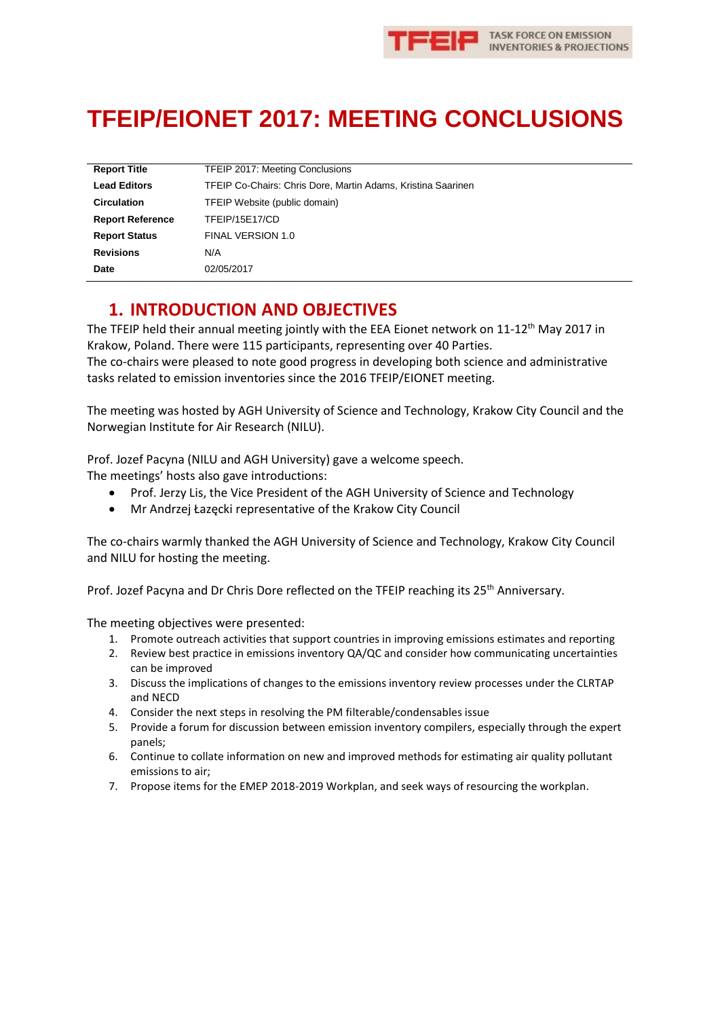

# **TFEIP/EIONET 2017: MEETING CONCLUSIONS**

| <b>Report Title</b>     | <b>TFEIP 2017: Meeting Conclusions</b>                       |
|-------------------------|--------------------------------------------------------------|
| <b>Lead Editors</b>     | TFEIP Co-Chairs: Chris Dore, Martin Adams, Kristina Saarinen |
| <b>Circulation</b>      | TFEIP Website (public domain)                                |
| <b>Report Reference</b> | TFEIP/15E17/CD                                               |
| <b>Report Status</b>    | FINAL VERSION 1.0                                            |
| <b>Revisions</b>        | N/A                                                          |
| Date                    | 02/05/2017                                                   |

# **1. INTRODUCTION AND OBJECTIVES**

The TFEIP held their annual meeting jointly with the EEA Eionet network on 11-12<sup>th</sup> May 2017 in Krakow, Poland. There were 115 participants, representing over 40 Parties. The co-chairs were pleased to note good progress in developing both science and administrative tasks related to emission inventories since the 2016 TFEIP/EIONET meeting.

The meeting was hosted by AGH University of Science and Technology, Krakow City Council and the Norwegian Institute for Air Research (NILU).

Prof. Jozef Pacyna (NILU and AGH University) gave a welcome speech.

The meetings' hosts also gave introductions:

- Prof. Jerzy Lis, the Vice President of the AGH University of Science and Technology
- Mr Andrzej Łazęcki representative of the Krakow City Council

The co-chairs warmly thanked the AGH University of Science and Technology, Krakow City Council and NILU for hosting the meeting.

Prof. Jozef Pacyna and Dr Chris Dore reflected on the TFEIP reaching its 25<sup>th</sup> Anniversary.

The meeting objectives were presented:

- 1. Promote outreach activities that support countries in improving emissions estimates and reporting
- 2. Review best practice in emissions inventory QA/QC and consider how communicating uncertainties can be improved
- 3. Discuss the implications of changes to the emissions inventory review processes under the CLRTAP and NECD
- 4. Consider the next steps in resolving the PM filterable/condensables issue
- 5. Provide a forum for discussion between emission inventory compilers, especially through the expert panels;
- 6. Continue to collate information on new and improved methods for estimating air quality pollutant emissions to air;
- 7. Propose items for the EMEP 2018-2019 Workplan, and seek ways of resourcing the workplan.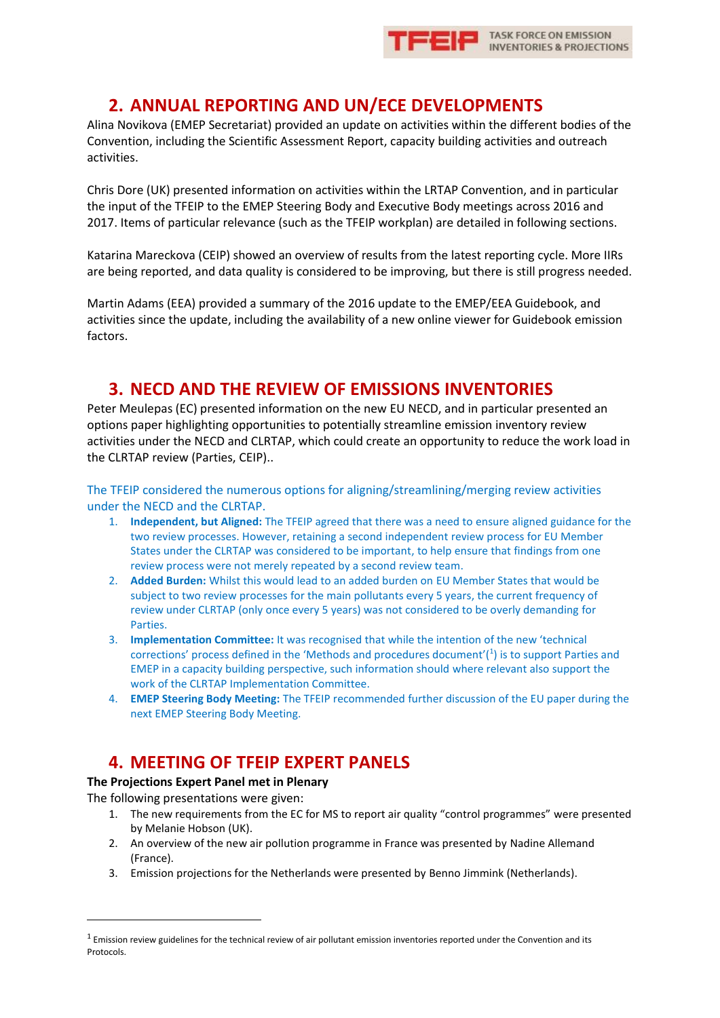

### **2. ANNUAL REPORTING AND UN/ECE DEVELOPMENTS**

Alina Novikova (EMEP Secretariat) provided an update on activities within the different bodies of the Convention, including the Scientific Assessment Report, capacity building activities and outreach activities.

Chris Dore (UK) presented information on activities within the LRTAP Convention, and in particular the input of the TFEIP to the EMEP Steering Body and Executive Body meetings across 2016 and 2017. Items of particular relevance (such as the TFEIP workplan) are detailed in following sections.

Katarina Mareckova (CEIP) showed an overview of results from the latest reporting cycle. More IIRs are being reported, and data quality is considered to be improving, but there is still progress needed.

Martin Adams (EEA) provided a summary of the 2016 update to the EMEP/EEA Guidebook, and activities since the update, including the availability of a new online viewer for Guidebook emission factors.

### **3. NECD AND THE REVIEW OF EMISSIONS INVENTORIES**

Peter Meulepas (EC) presented information on the new EU NECD, and in particular presented an options paper highlighting opportunities to potentially streamline emission inventory review activities under the NECD and CLRTAP, which could create an opportunity to reduce the work load in the CLRTAP review (Parties, CEIP)..

The TFEIP considered the numerous options for aligning/streamlining/merging review activities under the NECD and the CLRTAP.

- 1. **Independent, but Aligned:** The TFEIP agreed that there was a need to ensure aligned guidance for the two review processes. However, retaining a second independent review process for EU Member States under the CLRTAP was considered to be important, to help ensure that findings from one review process were not merely repeated by a second review team.
- 2. **Added Burden:** Whilst this would lead to an added burden on EU Member States that would be subject to two review processes for the main pollutants every 5 years, the current frequency of review under CLRTAP (only once every 5 years) was not considered to be overly demanding for **Parties.**
- 3. **Implementation Committee:** It was recognised that while the intention of the new 'technical corrections' process defined in the 'Methods and procedures document'( $1$ ) is to support Parties and EMEP in a capacity building perspective, such information should where relevant also support the work of the CLRTAP Implementation Committee.
- 4. **EMEP Steering Body Meeting:** The TFEIP recommended further discussion of the EU paper during the next EMEP Steering Body Meeting.

# **4. MEETING OF TFEIP EXPERT PANELS**

### **The Projections Expert Panel met in Plenary**

The following presentations were given:

-

- 1. The new requirements from the EC for MS to report air quality "control programmes" were presented by Melanie Hobson (UK).
- 2. An overview of the new air pollution programme in France was presented by Nadine Allemand (France).
- 3. Emission projections for the Netherlands were presented by Benno Jimmink (Netherlands).

 $1$  Emission review guidelines for the technical review of air pollutant emission inventories reported under the Convention and its **Protocols**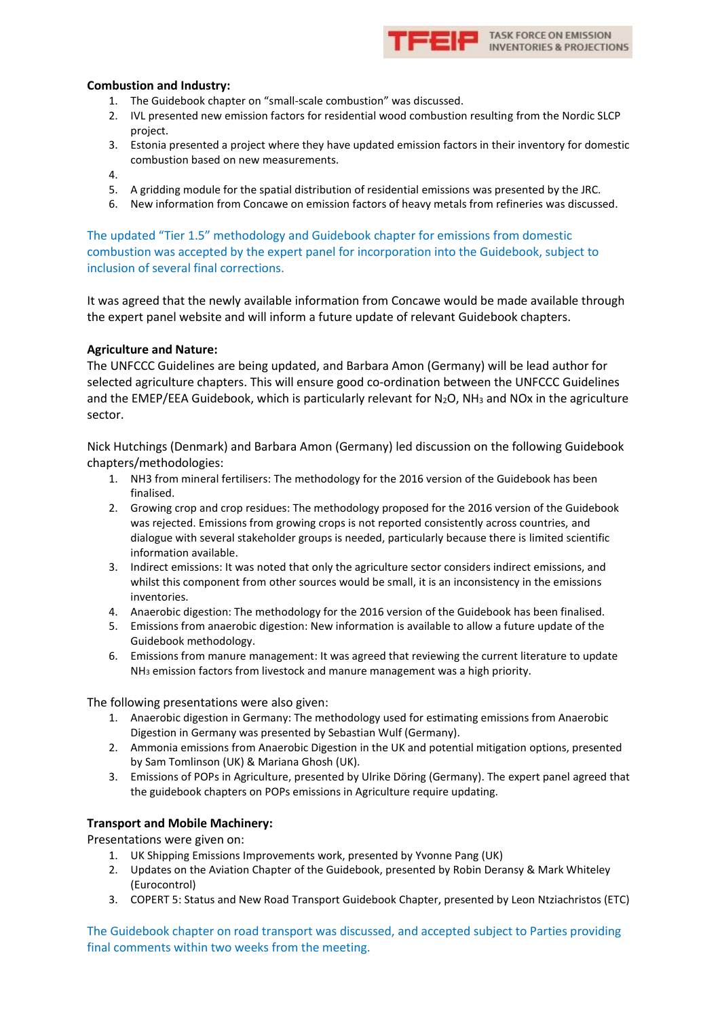

#### **Combustion and Industry:**

- 1. The Guidebook chapter on "small-scale combustion" was discussed.
- 2. IVL presented new emission factors for residential wood combustion resulting from the Nordic SLCP project.
- 3. Estonia presented a project where they have updated emission factors in their inventory for domestic combustion based on new measurements.
- 4.
- 5. A gridding module for the spatial distribution of residential emissions was presented by the JRC.
- 6. New information from Concawe on emission factors of heavy metals from refineries was discussed.

The updated "Tier 1.5" methodology and Guidebook chapter for emissions from domestic combustion was accepted by the expert panel for incorporation into the Guidebook, subject to inclusion of several final corrections.

It was agreed that the newly available information from Concawe would be made available through the expert panel website and will inform a future update of relevant Guidebook chapters.

#### **Agriculture and Nature:**

The UNFCCC Guidelines are being updated, and Barbara Amon (Germany) will be lead author for selected agriculture chapters. This will ensure good co-ordination between the UNFCCC Guidelines and the EMEP/EEA Guidebook, which is particularly relevant for  $N_2O$ ,  $NH_3$  and NOx in the agriculture sector.

Nick Hutchings (Denmark) and Barbara Amon (Germany) led discussion on the following Guidebook chapters/methodologies:

- 1. NH3 from mineral fertilisers: The methodology for the 2016 version of the Guidebook has been finalised.
- 2. Growing crop and crop residues: The methodology proposed for the 2016 version of the Guidebook was rejected. Emissions from growing crops is not reported consistently across countries, and dialogue with several stakeholder groups is needed, particularly because there is limited scientific information available.
- 3. Indirect emissions: It was noted that only the agriculture sector considers indirect emissions, and whilst this component from other sources would be small, it is an inconsistency in the emissions inventories.
- 4. Anaerobic digestion: The methodology for the 2016 version of the Guidebook has been finalised.
- 5. Emissions from anaerobic digestion: New information is available to allow a future update of the Guidebook methodology.
- 6. Emissions from manure management: It was agreed that reviewing the current literature to update NH<sup>3</sup> emission factors from livestock and manure management was a high priority.

The following presentations were also given:

- 1. Anaerobic digestion in Germany: The methodology used for estimating emissions from Anaerobic Digestion in Germany was presented by Sebastian Wulf (Germany).
- 2. Ammonia emissions from Anaerobic Digestion in the UK and potential mitigation options, presented by Sam Tomlinson (UK) & Mariana Ghosh (UK).
- 3. Emissions of POPs in Agriculture, presented by Ulrike Döring (Germany). The expert panel agreed that the guidebook chapters on POPs emissions in Agriculture require updating.

#### **Transport and Mobile Machinery:**

Presentations were given on:

- 1. UK Shipping Emissions Improvements work, presented by Yvonne Pang (UK)
- 2. Updates on the Aviation Chapter of the Guidebook, presented by Robin Deransy & Mark Whiteley (Eurocontrol)
- 3. COPERT 5: Status and New Road Transport Guidebook Chapter, presented by Leon Ntziachristos (ETC)

The Guidebook chapter on road transport was discussed, and accepted subject to Parties providing final comments within two weeks from the meeting.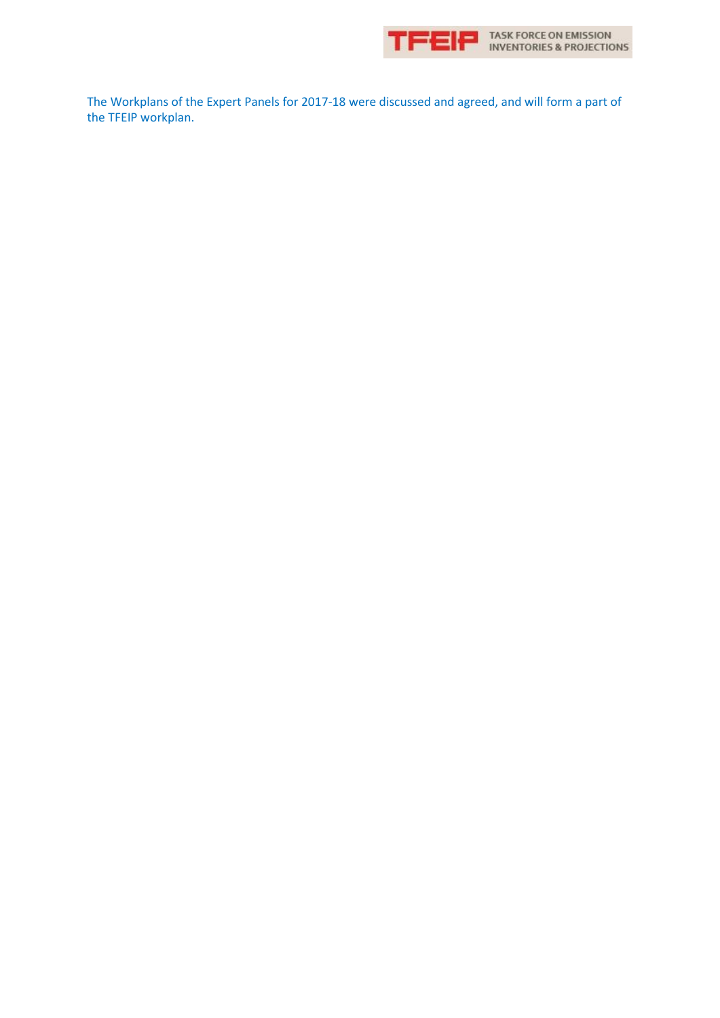

TASK FORCE ON EMISSION<br>INVENTORIES & PROJECTIONS

The Workplans of the Expert Panels for 2017-18 were discussed and agreed, and will form a part of the TFEIP workplan.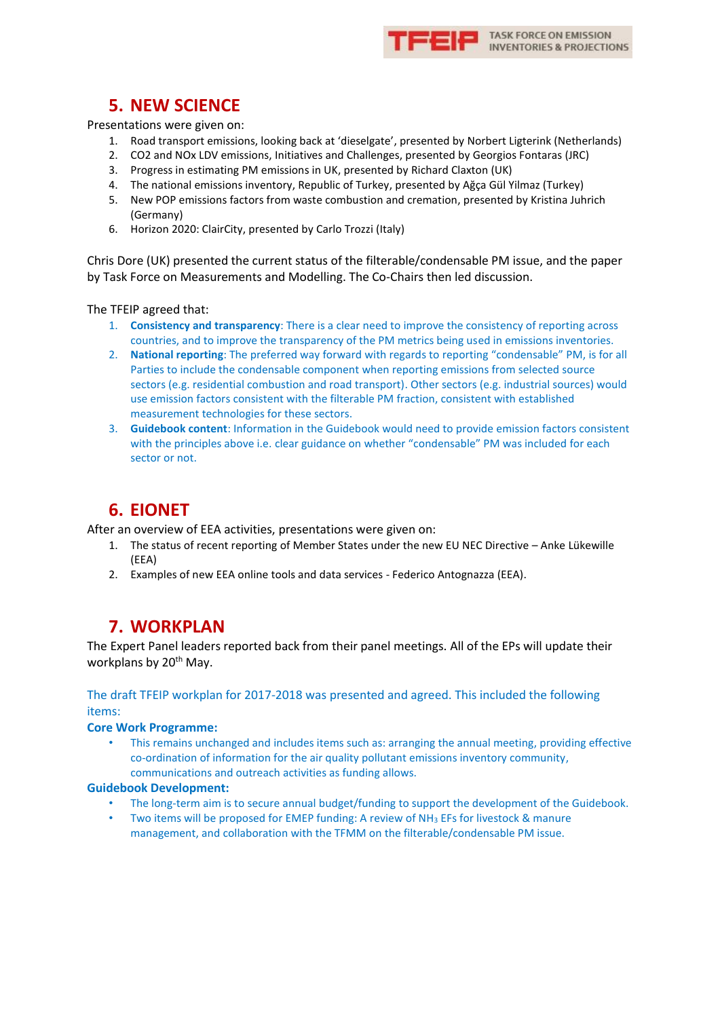

# **5. NEW SCIENCE**

Presentations were given on:

- 1. Road transport emissions, looking back at 'dieselgate', presented by Norbert Ligterink (Netherlands)
- 2. CO2 and NOx LDV emissions, Initiatives and Challenges, presented by Georgios Fontaras (JRC)
- 3. Progress in estimating PM emissions in UK, presented by Richard Claxton (UK)
- 4. The national emissions inventory, Republic of Turkey, presented by Ağça Gül Yilmaz (Turkey)
- 5. New POP emissions factors from waste combustion and cremation, presented by Kristina Juhrich (Germany)
- 6. Horizon 2020: ClairCity, presented by Carlo Trozzi (Italy)

Chris Dore (UK) presented the current status of the filterable/condensable PM issue, and the paper by Task Force on Measurements and Modelling. The Co-Chairs then led discussion.

The TFEIP agreed that:

- 1. **Consistency and transparency**: There is a clear need to improve the consistency of reporting across countries, and to improve the transparency of the PM metrics being used in emissions inventories.
- 2. **National reporting**: The preferred way forward with regards to reporting "condensable" PM, is for all Parties to include the condensable component when reporting emissions from selected source sectors (e.g. residential combustion and road transport). Other sectors (e.g. industrial sources) would use emission factors consistent with the filterable PM fraction, consistent with established measurement technologies for these sectors.
- 3. **Guidebook content**: Information in the Guidebook would need to provide emission factors consistent with the principles above i.e. clear guidance on whether "condensable" PM was included for each sector or not.

# **6. EIONET**

After an overview of EEA activities, presentations were given on:

- 1. The status of recent reporting of Member States under the new EU NEC Directive Anke Lükewille (EEA)
- 2. Examples of new EEA online tools and data services Federico Antognazza (EEA).

### **7. WORKPLAN**

The Expert Panel leaders reported back from their panel meetings. All of the EPs will update their workplans by 20<sup>th</sup> May.

The draft TFEIP workplan for 2017-2018 was presented and agreed. This included the following items:

**Core Work Programme:**

• This remains unchanged and includes items such as: arranging the annual meeting, providing effective co-ordination of information for the air quality pollutant emissions inventory community, communications and outreach activities as funding allows.

#### **Guidebook Development:**

- The long-term aim is to secure annual budget/funding to support the development of the Guidebook.
- Two items will be proposed for EMEP funding: A review of NH<sup>3</sup> EFs for livestock & manure management, and collaboration with the TFMM on the filterable/condensable PM issue.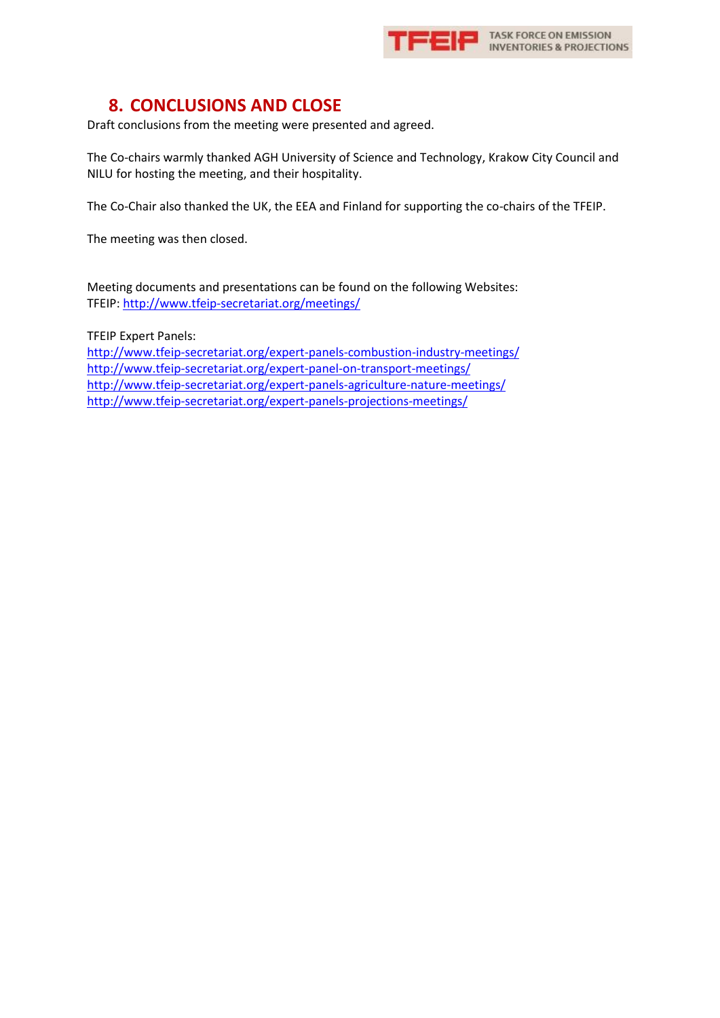

## **8. CONCLUSIONS AND CLOSE**

Draft conclusions from the meeting were presented and agreed.

The Co-chairs warmly thanked AGH University of Science and Technology, Krakow City Council and NILU for hosting the meeting, and their hospitality.

The Co-Chair also thanked the UK, the EEA and Finland for supporting the co-chairs of the TFEIP.

The meeting was then closed.

Meeting documents and presentations can be found on the following Websites: TFEIP[: http://www.tfeip-secretariat.org/meetings/](http://www.tfeip-secretariat.org/meetings/)

TFEIP Expert Panels:

<http://www.tfeip-secretariat.org/expert-panels-combustion-industry-meetings/> <http://www.tfeip-secretariat.org/expert-panel-on-transport-meetings/> <http://www.tfeip-secretariat.org/expert-panels-agriculture-nature-meetings/> <http://www.tfeip-secretariat.org/expert-panels-projections-meetings/>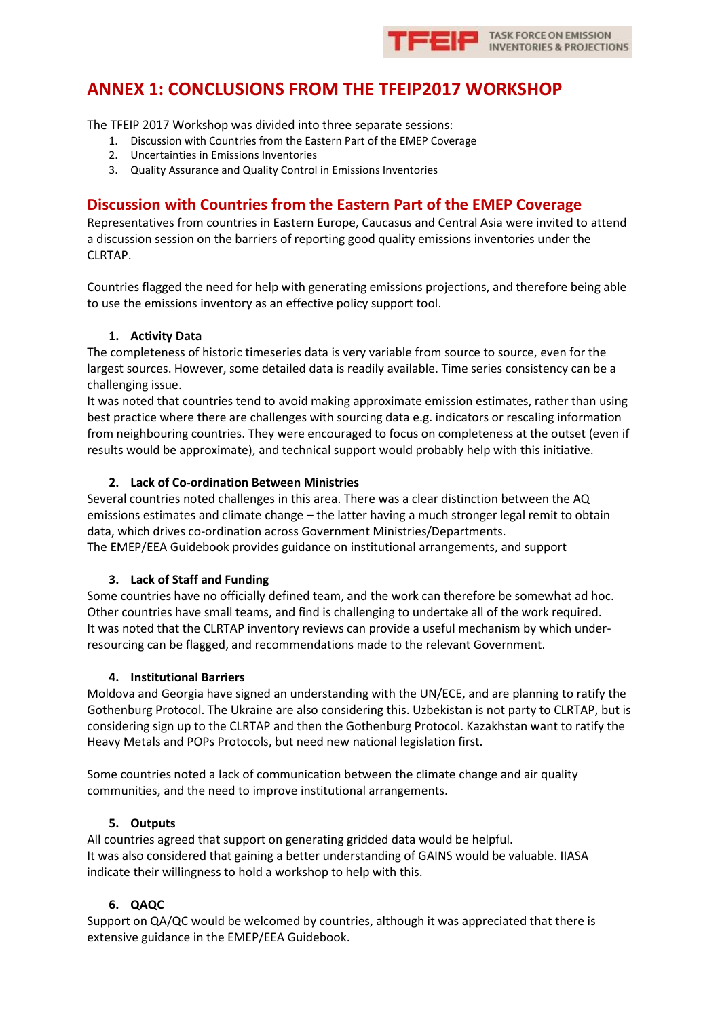

# **ANNEX 1: CONCLUSIONS FROM THE TFEIP2017 WORKSHOP**

The TFEIP 2017 Workshop was divided into three separate sessions:

- 1. Discussion with Countries from the Eastern Part of the EMEP Coverage
- 2. Uncertainties in Emissions Inventories
- 3. Quality Assurance and Quality Control in Emissions Inventories

### **Discussion with Countries from the Eastern Part of the EMEP Coverage**

Representatives from countries in Eastern Europe, Caucasus and Central Asia were invited to attend a discussion session on the barriers of reporting good quality emissions inventories under the CLRTAP.

Countries flagged the need for help with generating emissions projections, and therefore being able to use the emissions inventory as an effective policy support tool.

### **1. Activity Data**

The completeness of historic timeseries data is very variable from source to source, even for the largest sources. However, some detailed data is readily available. Time series consistency can be a challenging issue.

It was noted that countries tend to avoid making approximate emission estimates, rather than using best practice where there are challenges with sourcing data e.g. indicators or rescaling information from neighbouring countries. They were encouraged to focus on completeness at the outset (even if results would be approximate), and technical support would probably help with this initiative.

### **2. Lack of Co-ordination Between Ministries**

Several countries noted challenges in this area. There was a clear distinction between the AQ emissions estimates and climate change – the latter having a much stronger legal remit to obtain data, which drives co-ordination across Government Ministries/Departments.

The EMEP/EEA Guidebook provides guidance on institutional arrangements, and support

### **3. Lack of Staff and Funding**

Some countries have no officially defined team, and the work can therefore be somewhat ad hoc. Other countries have small teams, and find is challenging to undertake all of the work required. It was noted that the CLRTAP inventory reviews can provide a useful mechanism by which underresourcing can be flagged, and recommendations made to the relevant Government.

#### **4. Institutional Barriers**

Moldova and Georgia have signed an understanding with the UN/ECE, and are planning to ratify the Gothenburg Protocol. The Ukraine are also considering this. Uzbekistan is not party to CLRTAP, but is considering sign up to the CLRTAP and then the Gothenburg Protocol. Kazakhstan want to ratify the Heavy Metals and POPs Protocols, but need new national legislation first.

Some countries noted a lack of communication between the climate change and air quality communities, and the need to improve institutional arrangements.

#### **5. Outputs**

All countries agreed that support on generating gridded data would be helpful. It was also considered that gaining a better understanding of GAINS would be valuable. IIASA indicate their willingness to hold a workshop to help with this.

### **6. QAQC**

Support on QA/QC would be welcomed by countries, although it was appreciated that there is extensive guidance in the EMEP/EEA Guidebook.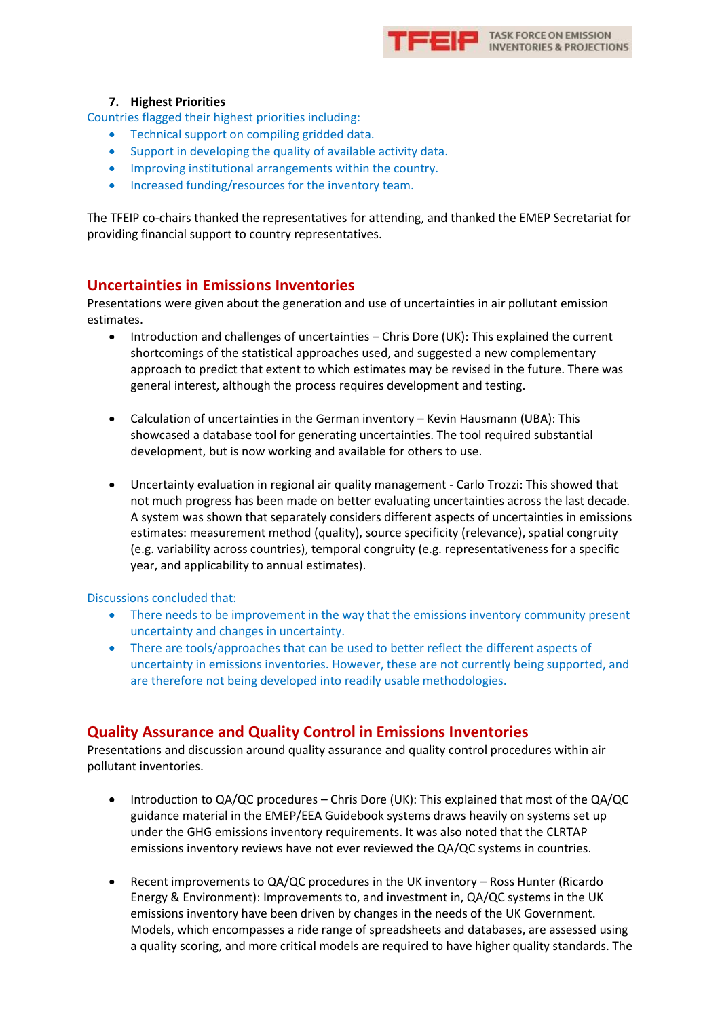

### **7. Highest Priorities**

Countries flagged their highest priorities including:

- Technical support on compiling gridded data.
- Support in developing the quality of available activity data.
- Improving institutional arrangements within the country.
- Increased funding/resources for the inventory team.

The TFEIP co-chairs thanked the representatives for attending, and thanked the EMEP Secretariat for providing financial support to country representatives.

### **Uncertainties in Emissions Inventories**

Presentations were given about the generation and use of uncertainties in air pollutant emission estimates.

- Introduction and challenges of uncertainties Chris Dore (UK): This explained the current shortcomings of the statistical approaches used, and suggested a new complementary approach to predict that extent to which estimates may be revised in the future. There was general interest, although the process requires development and testing.
- Calculation of uncertainties in the German inventory Kevin Hausmann (UBA): This showcased a database tool for generating uncertainties. The tool required substantial development, but is now working and available for others to use.
- Uncertainty evaluation in regional air quality management Carlo Trozzi: This showed that not much progress has been made on better evaluating uncertainties across the last decade. A system was shown that separately considers different aspects of uncertainties in emissions estimates: measurement method (quality), source specificity (relevance), spatial congruity (e.g. variability across countries), temporal congruity (e.g. representativeness for a specific year, and applicability to annual estimates).

#### Discussions concluded that:

- There needs to be improvement in the way that the emissions inventory community present uncertainty and changes in uncertainty.
- There are tools/approaches that can be used to better reflect the different aspects of uncertainty in emissions inventories. However, these are not currently being supported, and are therefore not being developed into readily usable methodologies.

### **Quality Assurance and Quality Control in Emissions Inventories**

Presentations and discussion around quality assurance and quality control procedures within air pollutant inventories.

- Introduction to QA/QC procedures Chris Dore (UK): This explained that most of the QA/QC guidance material in the EMEP/EEA Guidebook systems draws heavily on systems set up under the GHG emissions inventory requirements. It was also noted that the CLRTAP emissions inventory reviews have not ever reviewed the QA/QC systems in countries.
- Recent improvements to QA/QC procedures in the UK inventory Ross Hunter (Ricardo Energy & Environment): Improvements to, and investment in, QA/QC systems in the UK emissions inventory have been driven by changes in the needs of the UK Government. Models, which encompasses a ride range of spreadsheets and databases, are assessed using a quality scoring, and more critical models are required to have higher quality standards. The